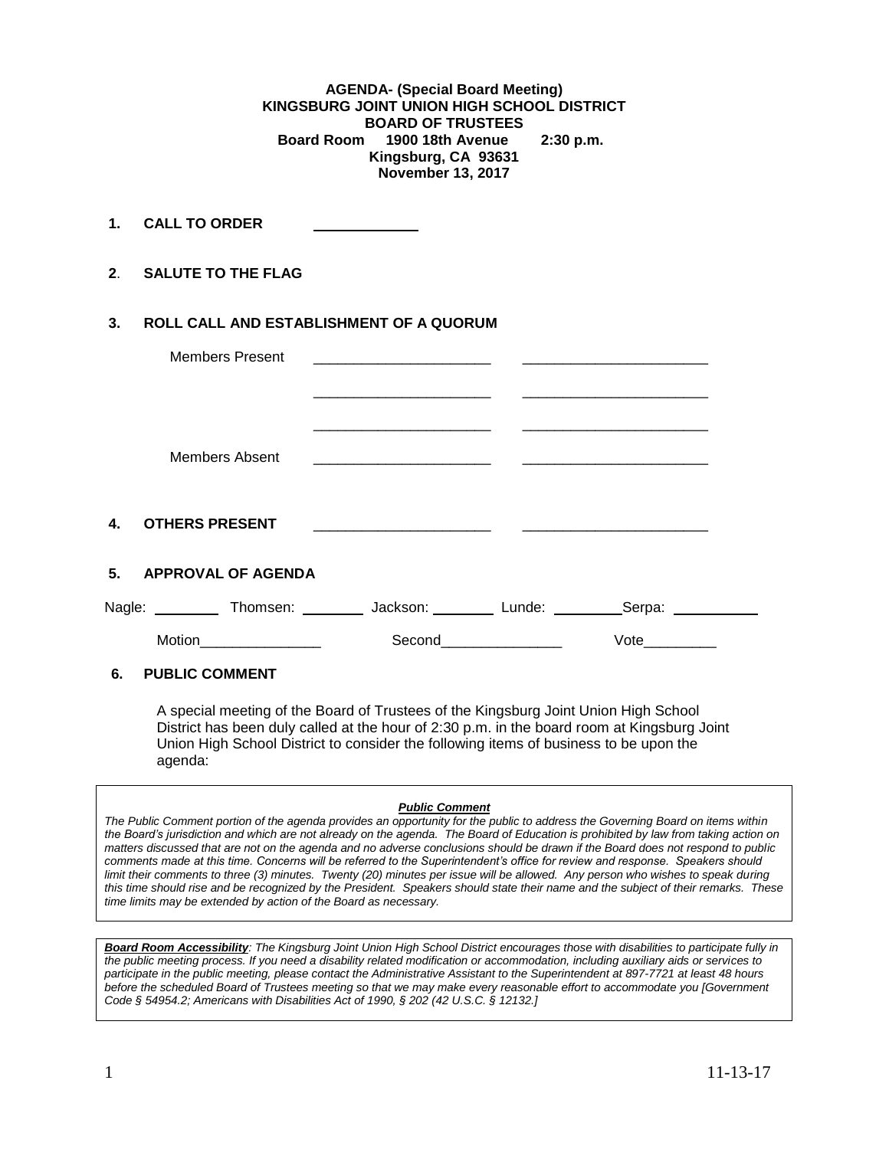**AGENDA- (Special Board Meeting) KINGSBURG JOINT UNION HIGH SCHOOL DISTRICT BOARD OF TRUSTEES Board Room 1900 18th Avenue 2:30 p.m. Kingsburg, CA 93631 November 13, 2017**

**1. CALL TO ORDER** 

**2**. **SALUTE TO THE FLAG**

## **3. ROLL CALL AND ESTABLISHMENT OF A QUORUM**

| <b>Members Present</b>                 | <u> 1980 - John Stone, Amerikaansk politiker (* 1901)</u> |                      |                   |  |
|----------------------------------------|-----------------------------------------------------------|----------------------|-------------------|--|
|                                        |                                                           |                      |                   |  |
| Members Absent                         |                                                           |                      |                   |  |
| $\mathbf{4}$<br><b>OTHERS PRESENT</b>  |                                                           |                      |                   |  |
| 5. APPROVAL OF AGENDA                  |                                                           |                      |                   |  |
| Nagle: Thomsen: Jackson: Lunde: Lunde: |                                                           |                      | _Serpa: _________ |  |
| Motion_________________                |                                                           | Second______________ | Vote              |  |
| 6.<br><b>PUBLIC COMMENT</b>            |                                                           |                      |                   |  |

A special meeting of the Board of Trustees of the Kingsburg Joint Union High School District has been duly called at the hour of 2:30 p.m. in the board room at Kingsburg Joint Union High School District to consider the following items of business to be upon the agenda:

## *Public Comment*

*The Public Comment portion of the agenda provides an opportunity for the public to address the Governing Board on items within the Board's jurisdiction and which are not already on the agenda. The Board of Education is prohibited by law from taking action on matters discussed that are not on the agenda and no adverse conclusions should be drawn if the Board does not respond to public comments made at this time. Concerns will be referred to the Superintendent's office for review and response. Speakers should limit their comments to three (3) minutes. Twenty (20) minutes per issue will be allowed. Any person who wishes to speak during this time should rise and be recognized by the President. Speakers should state their name and the subject of their remarks. These time limits may be extended by action of the Board as necessary.*

*Board Room Accessibility: The Kingsburg Joint Union High School District encourages those with disabilities to participate fully in the public meeting process. If you need a disability related modification or accommodation, including auxiliary aids or services to participate in the public meeting, please contact the Administrative Assistant to the Superintendent at 897-7721 at least 48 hours before the scheduled Board of Trustees meeting so that we may make every reasonable effort to accommodate you [Government Code § 54954.2; Americans with Disabilities Act of 1990, § 202 (42 U.S.C. § 12132.]*